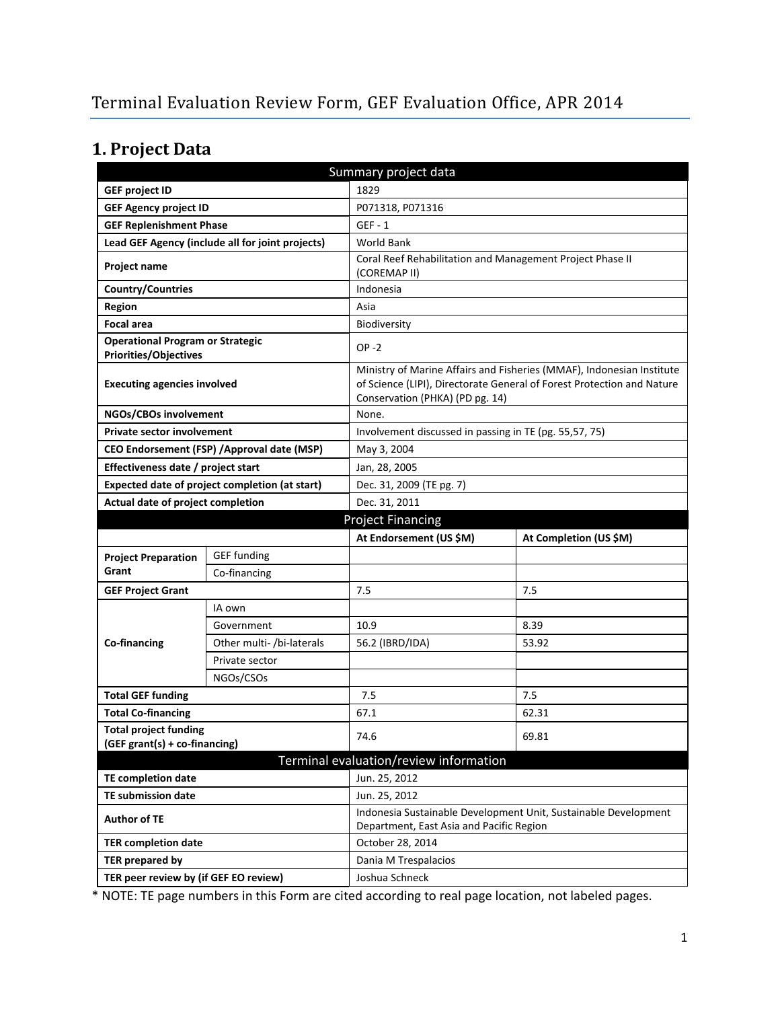# **1. Project Data**

| Summary project data                                                    |                                                  |                                                                           |                                                                                                                                                 |  |
|-------------------------------------------------------------------------|--------------------------------------------------|---------------------------------------------------------------------------|-------------------------------------------------------------------------------------------------------------------------------------------------|--|
| <b>GEF project ID</b>                                                   |                                                  | 1829                                                                      |                                                                                                                                                 |  |
| <b>GEF Agency project ID</b>                                            |                                                  | P071318, P071316                                                          |                                                                                                                                                 |  |
| <b>GEF Replenishment Phase</b>                                          |                                                  | $GEF - 1$                                                                 |                                                                                                                                                 |  |
|                                                                         | Lead GEF Agency (include all for joint projects) | <b>World Bank</b>                                                         |                                                                                                                                                 |  |
| Project name                                                            |                                                  | Coral Reef Rehabilitation and Management Project Phase II<br>(COREMAP II) |                                                                                                                                                 |  |
| <b>Country/Countries</b>                                                |                                                  | Indonesia                                                                 |                                                                                                                                                 |  |
| Region                                                                  |                                                  | Asia                                                                      |                                                                                                                                                 |  |
| <b>Focal area</b>                                                       |                                                  | Biodiversity                                                              |                                                                                                                                                 |  |
| <b>Operational Program or Strategic</b><br><b>Priorities/Objectives</b> |                                                  | $OP -2$                                                                   |                                                                                                                                                 |  |
| <b>Executing agencies involved</b>                                      |                                                  | Conservation (PHKA) (PD pg. 14)                                           | Ministry of Marine Affairs and Fisheries (MMAF), Indonesian Institute<br>of Science (LIPI), Directorate General of Forest Protection and Nature |  |
| NGOs/CBOs involvement                                                   |                                                  | None.                                                                     |                                                                                                                                                 |  |
| Private sector involvement                                              |                                                  | Involvement discussed in passing in TE (pg. 55,57, 75)                    |                                                                                                                                                 |  |
|                                                                         | CEO Endorsement (FSP) / Approval date (MSP)      | May 3, 2004                                                               |                                                                                                                                                 |  |
| Effectiveness date / project start                                      |                                                  | Jan, 28, 2005                                                             |                                                                                                                                                 |  |
|                                                                         | Expected date of project completion (at start)   | Dec. 31, 2009 (TE pg. 7)                                                  |                                                                                                                                                 |  |
| Actual date of project completion                                       |                                                  | Dec. 31, 2011                                                             |                                                                                                                                                 |  |
| <b>Project Financing</b>                                                |                                                  |                                                                           |                                                                                                                                                 |  |
|                                                                         |                                                  |                                                                           |                                                                                                                                                 |  |
|                                                                         |                                                  | At Endorsement (US \$M)                                                   | At Completion (US \$M)                                                                                                                          |  |
| <b>Project Preparation</b>                                              | <b>GEF</b> funding                               |                                                                           |                                                                                                                                                 |  |
| Grant                                                                   | Co-financing                                     |                                                                           |                                                                                                                                                 |  |
| <b>GEF Project Grant</b>                                                |                                                  | 7.5                                                                       | 7.5                                                                                                                                             |  |
|                                                                         | IA own                                           |                                                                           |                                                                                                                                                 |  |
|                                                                         | Government                                       | 10.9                                                                      | 8.39                                                                                                                                            |  |
| Co-financing                                                            | Other multi- /bi-laterals                        | 56.2 (IBRD/IDA)                                                           | 53.92                                                                                                                                           |  |
|                                                                         | Private sector                                   |                                                                           |                                                                                                                                                 |  |
|                                                                         | NGOs/CSOs                                        |                                                                           |                                                                                                                                                 |  |
| <b>Total GEF funding</b>                                                |                                                  | 7.5                                                                       | 7.5                                                                                                                                             |  |
| <b>Total Co-financing</b>                                               |                                                  | 67.1                                                                      | 62.31                                                                                                                                           |  |
| <b>Total project funding</b><br>(GEF grant(s) + co-financing)           |                                                  | 74.6                                                                      | 69.81                                                                                                                                           |  |
|                                                                         |                                                  | Terminal evaluation/review information                                    |                                                                                                                                                 |  |
| TE completion date                                                      |                                                  | Jun. 25, 2012                                                             |                                                                                                                                                 |  |
| <b>TE submission date</b>                                               |                                                  | Jun. 25, 2012                                                             |                                                                                                                                                 |  |
| <b>Author of TE</b>                                                     |                                                  | Department, East Asia and Pacific Region                                  | Indonesia Sustainable Development Unit, Sustainable Development                                                                                 |  |
| <b>TER completion date</b>                                              |                                                  | October 28, 2014                                                          |                                                                                                                                                 |  |
| TER prepared by                                                         |                                                  | Dania M Trespalacios                                                      |                                                                                                                                                 |  |

\* NOTE: TE page numbers in this Form are cited according to real page location, not labeled pages.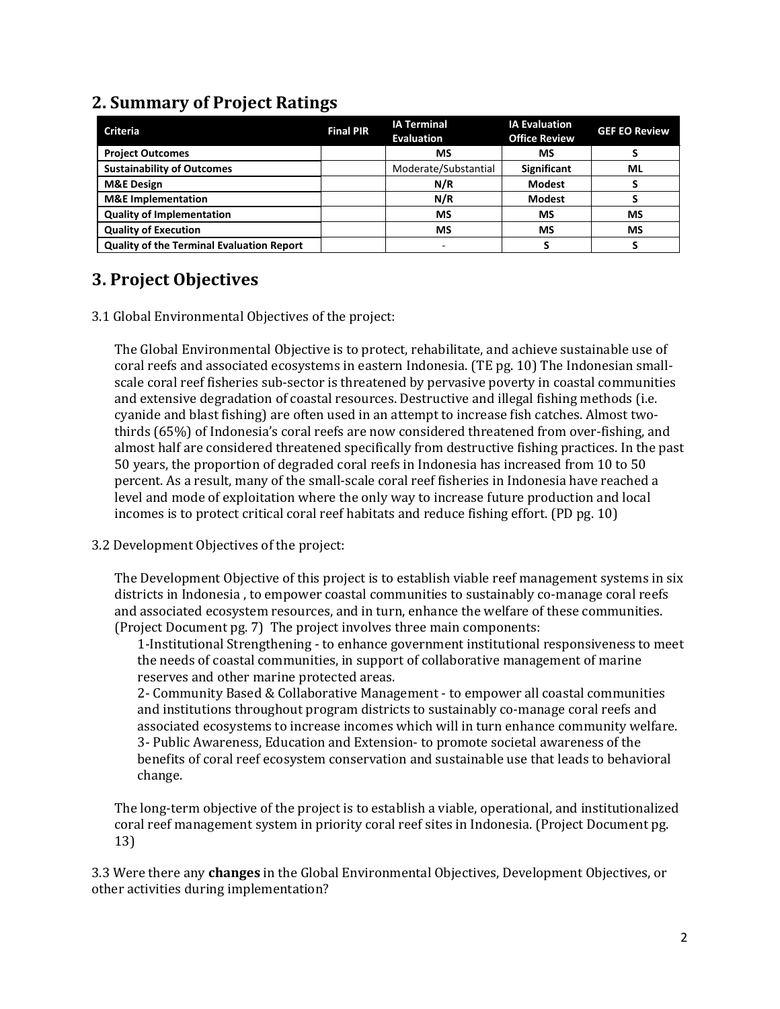#### **2. Summary of Project Ratings**

| <b>Criteria</b>                           | <b>Final PIR</b> | <b>IA Terminal</b><br><b>Evaluation</b> | <b>IA Evaluation</b><br><b>Office Review</b> | <b>GEF EO Review</b> |
|-------------------------------------------|------------------|-----------------------------------------|----------------------------------------------|----------------------|
| <b>Project Outcomes</b>                   |                  | ΜS                                      | МS                                           |                      |
| <b>Sustainability of Outcomes</b>         |                  | Moderate/Substantial                    | Significant                                  | ML                   |
| <b>M&amp;E Design</b>                     |                  | N/R                                     | <b>Modest</b>                                |                      |
| <b>M&amp;E</b> Implementation             |                  | N/R                                     | <b>Modest</b>                                |                      |
| <b>Quality of Implementation</b>          |                  | MS                                      | <b>MS</b>                                    | MS                   |
| <b>Quality of Execution</b>               |                  | <b>MS</b>                               | <b>MS</b>                                    | MS                   |
| Quality of the Terminal Evaluation Report |                  |                                         |                                              |                      |

### **3. Project Objectives**

3.1 Global Environmental Objectives of the project:

The Global Environmental Objective is to protect, rehabilitate, and achieve sustainable use of coral reefs and associated ecosystems in eastern Indonesia. (TE pg. 10) The Indonesian smallscale coral reef fisheries sub-sector is threatened by pervasive poverty in coastal communities and extensive degradation of coastal resources. Destructive and illegal fishing methods (i.e. cyanide and blast fishing) are often used in an attempt to increase fish catches. Almost twothirds (65%) of Indonesia's coral reefs are now considered threatened from over-fishing, and almost half are considered threatened specifically from destructive fishing practices. In the past 50 years, the proportion of degraded coral reefs in Indonesia has increased from 10 to 50 percent. As a result, many of the small-scale coral reef fisheries in Indonesia have reached a level and mode of exploitation where the only way to increase future production and local incomes is to protect critical coral reef habitats and reduce fishing effort. (PD pg. 10)

3.2 Development Objectives of the project:

The Development Objective of this project is to establish viable reef management systems in six districts in Indonesia , to empower coastal communities to sustainably co-manage coral reefs and associated ecosystem resources, and in turn, enhance the welfare of these communities. (Project Document pg. 7) The project involves three main components:

1-Institutional Strengthening - to enhance government institutional responsiveness to meet the needs of coastal communities, in support of collaborative management of marine reserves and other marine protected areas.

2- Community Based & Collaborative Management - to empower all coastal communities and institutions throughout program districts to sustainably co-manage coral reefs and associated ecosystems to increase incomes which will in turn enhance community welfare. 3- Public Awareness, Education and Extension- to promote societal awareness of the benefits of coral reef ecosystem conservation and sustainable use that leads to behavioral change.

The long-term objective of the project is to establish a viable, operational, and institutionalized coral reef management system in priority coral reef sites in Indonesia. (Project Document pg. 13)

3.3 Were there any **changes** in the Global Environmental Objectives, Development Objectives, or other activities during implementation?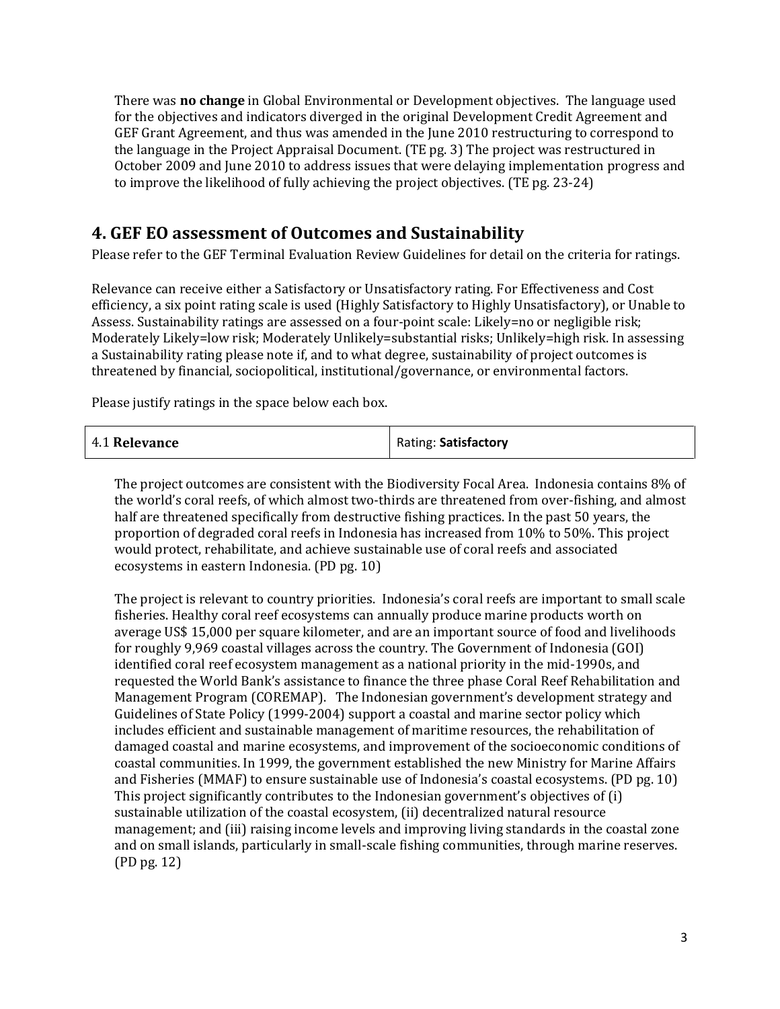There was **no change** in Global Environmental or Development objectives. The language used for the objectives and indicators diverged in the original Development Credit Agreement and GEF Grant Agreement, and thus was amended in the June 2010 restructuring to correspond to the language in the Project Appraisal Document. (TE pg. 3) The project was restructured in October 2009 and June 2010 to address issues that were delaying implementation progress and to improve the likelihood of fully achieving the project objectives. (TE pg. 23-24)

#### **4. GEF EO assessment of Outcomes and Sustainability**

Please refer to the GEF Terminal Evaluation Review Guidelines for detail on the criteria for ratings.

Relevance can receive either a Satisfactory or Unsatisfactory rating. For Effectiveness and Cost efficiency, a six point rating scale is used (Highly Satisfactory to Highly Unsatisfactory), or Unable to Assess. Sustainability ratings are assessed on a four-point scale: Likely=no or negligible risk; Moderately Likely=low risk; Moderately Unlikely=substantial risks; Unlikely=high risk. In assessing a Sustainability rating please note if, and to what degree, sustainability of project outcomes is threatened by financial, sociopolitical, institutional/governance, or environmental factors.

Please justify ratings in the space below each box.

| 4.1 Relevance | Rating: Satisfactory |
|---------------|----------------------|
|---------------|----------------------|

The project outcomes are consistent with the Biodiversity Focal Area. Indonesia contains 8% of the world's coral reefs, of which almost two-thirds are threatened from over-fishing, and almost half are threatened specifically from destructive fishing practices. In the past 50 years, the proportion of degraded coral reefs in Indonesia has increased from 10% to 50%. This project would protect, rehabilitate, and achieve sustainable use of coral reefs and associated ecosystems in eastern Indonesia. (PD pg. 10)

The project is relevant to country priorities. Indonesia's coral reefs are important to small scale fisheries. Healthy coral reef ecosystems can annually produce marine products worth on average US\$ 15,000 per square kilometer, and are an important source of food and livelihoods for roughly 9,969 coastal villages across the country. The Government of Indonesia (GOI) identified coral reef ecosystem management as a national priority in the mid-1990s, and requested the World Bank's assistance to finance the three phase Coral Reef Rehabilitation and Management Program (COREMAP). The Indonesian government's development strategy and Guidelines of State Policy (1999-2004) support a coastal and marine sector policy which includes efficient and sustainable management of maritime resources, the rehabilitation of damaged coastal and marine ecosystems, and improvement of the socioeconomic conditions of coastal communities. In 1999, the government established the new Ministry for Marine Affairs and Fisheries (MMAF) to ensure sustainable use of Indonesia's coastal ecosystems. (PD pg. 10) This project significantly contributes to the Indonesian government's objectives of (i) sustainable utilization of the coastal ecosystem, (ii) decentralized natural resource management; and (iii) raising income levels and improving living standards in the coastal zone and on small islands, particularly in small-scale fishing communities, through marine reserves. (PD pg. 12)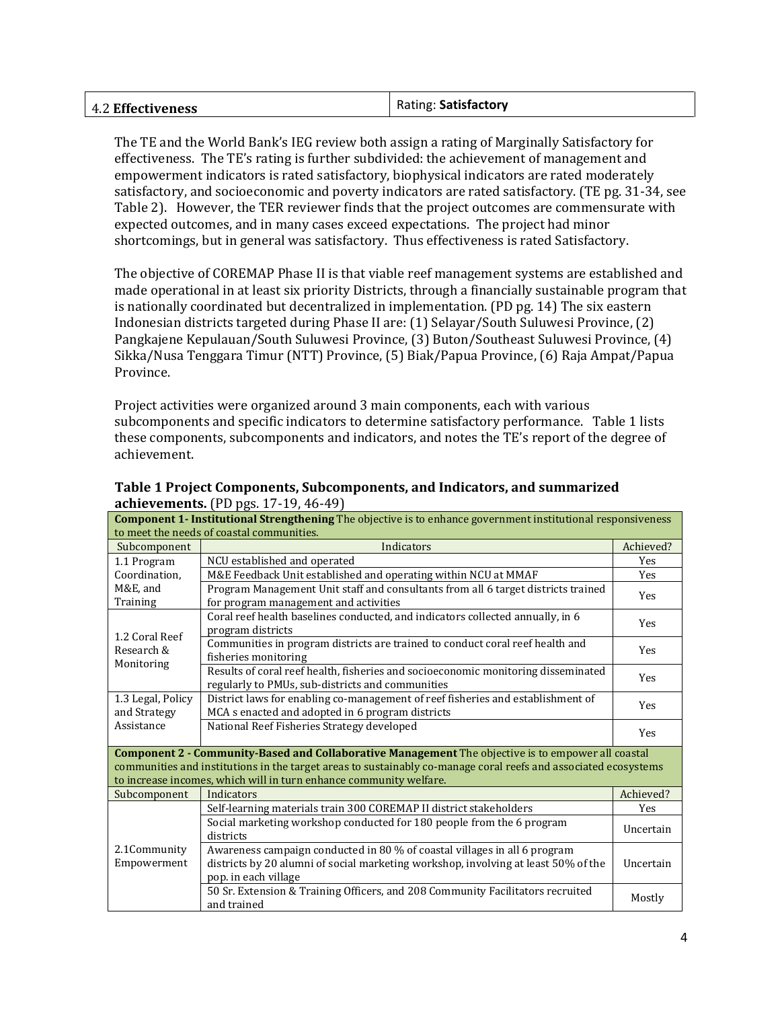| Rating: Satisfactory |
|----------------------|
|                      |
|                      |

The TE and the World Bank's IEG review both assign a rating of Marginally Satisfactory for effectiveness. The TE's rating is further subdivided: the achievement of management and empowerment indicators is rated satisfactory, biophysical indicators are rated moderately satisfactory, and socioeconomic and poverty indicators are rated satisfactory. (TE pg. 31-34, see Table 2). However, the TER reviewer finds that the project outcomes are commensurate with expected outcomes, and in many cases exceed expectations. The project had minor shortcomings, but in general was satisfactory. Thus effectiveness is rated Satisfactory.

The objective of COREMAP Phase II is that viable reef management systems are established and made operational in at least six priority Districts, through a financially sustainable program that is nationally coordinated but decentralized in implementation. (PD pg. 14) The six eastern Indonesian districts targeted during Phase II are: (1) Selayar/South Suluwesi Province, (2) Pangkajene Kepulauan/South Suluwesi Province, (3) Buton/Southeast Suluwesi Province, (4) Sikka/Nusa Tenggara Timur (NTT) Province, (5) Biak/Papua Province, (6) Raja Ampat/Papua Province.

Project activities were organized around 3 main components, each with various subcomponents and specific indicators to determine satisfactory performance. Table 1 lists these components, subcomponents and indicators, and notes the TE's report of the degree of achievement.

| <b>Component 1- Institutional Strengthening</b> The objective is to enhance government institutional responsiveness |                                                                                                                                       |           |  |
|---------------------------------------------------------------------------------------------------------------------|---------------------------------------------------------------------------------------------------------------------------------------|-----------|--|
| to meet the needs of coastal communities.                                                                           |                                                                                                                                       |           |  |
| Subcomponent                                                                                                        | Indicators                                                                                                                            | Achieved? |  |
| 1.1 Program                                                                                                         | NCU established and operated                                                                                                          | Yes       |  |
| Coordination,                                                                                                       | M&E Feedback Unit established and operating within NCU at MMAF                                                                        | Yes       |  |
| M&E, and                                                                                                            | Program Management Unit staff and consultants from all 6 target districts trained                                                     | Yes       |  |
| Training                                                                                                            | for program management and activities                                                                                                 |           |  |
|                                                                                                                     | Coral reef health baselines conducted, and indicators collected annually, in 6                                                        | Yes       |  |
| 1.2 Coral Reef                                                                                                      | program districts                                                                                                                     |           |  |
| Research &                                                                                                          | Communities in program districts are trained to conduct coral reef health and                                                         | Yes       |  |
| Monitoring                                                                                                          | fisheries monitoring                                                                                                                  |           |  |
|                                                                                                                     | Results of coral reef health, fisheries and socioeconomic monitoring disseminated<br>regularly to PMUs, sub-districts and communities | Yes       |  |
| 1.3 Legal, Policy                                                                                                   | District laws for enabling co-management of reef fisheries and establishment of                                                       |           |  |
| and Strategy                                                                                                        | MCA s enacted and adopted in 6 program districts                                                                                      | Yes       |  |
| Assistance                                                                                                          | National Reef Fisheries Strategy developed                                                                                            | Yes       |  |
|                                                                                                                     |                                                                                                                                       |           |  |
|                                                                                                                     | <b>Component 2 - Community-Based and Collaborative Management</b> The objective is to empower all coastal                             |           |  |
| communities and institutions in the target areas to sustainably co-manage coral reefs and associated ecosystems     |                                                                                                                                       |           |  |
|                                                                                                                     | to increase incomes, which will in turn enhance community welfare.                                                                    |           |  |
| Subcomponent                                                                                                        | Indicators                                                                                                                            | Achieved? |  |
|                                                                                                                     | Self-learning materials train 300 COREMAP II district stakeholders                                                                    | Yes       |  |
|                                                                                                                     | Social marketing workshop conducted for 180 people from the 6 program                                                                 | Uncertain |  |
|                                                                                                                     | districts                                                                                                                             |           |  |
| 2.1 Community                                                                                                       | Awareness campaign conducted in 80 % of coastal villages in all 6 program                                                             |           |  |
| Empowerment                                                                                                         | districts by 20 alumni of social marketing workshop, involving at least 50% of the                                                    | Uncertain |  |
|                                                                                                                     | pop. in each village                                                                                                                  |           |  |
|                                                                                                                     | 50 Sr. Extension & Training Officers, and 208 Community Facilitators recruited                                                        | Mostly    |  |
|                                                                                                                     | and trained                                                                                                                           |           |  |

**Table 1 Project Components, Subcomponents, and Indicators, and summarized achievements.** (PD pgs. 17-19, 46-49)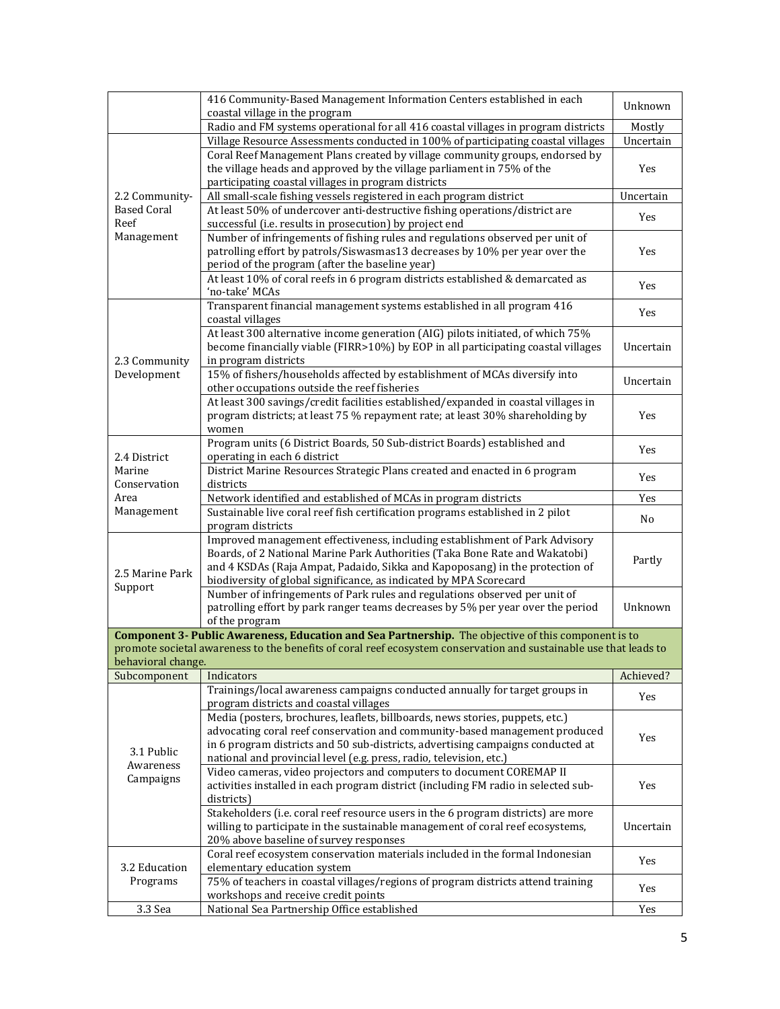|                    | 416 Community-Based Management Information Centers established in each<br>coastal village in the program                                                      | Unknown   |
|--------------------|---------------------------------------------------------------------------------------------------------------------------------------------------------------|-----------|
|                    | Radio and FM systems operational for all 416 coastal villages in program districts                                                                            | Mostly    |
|                    | Village Resource Assessments conducted in 100% of participating coastal villages                                                                              | Uncertain |
|                    | Coral Reef Management Plans created by village community groups, endorsed by                                                                                  |           |
|                    | the village heads and approved by the village parliament in 75% of the                                                                                        | Yes       |
|                    | participating coastal villages in program districts                                                                                                           |           |
| 2.2 Community-     | All small-scale fishing vessels registered in each program district                                                                                           | Uncertain |
| <b>Based Coral</b> | At least 50% of undercover anti-destructive fishing operations/district are                                                                                   | Yes       |
| Reef               | successful (i.e. results in prosecution) by project end                                                                                                       |           |
| Management         | Number of infringements of fishing rules and regulations observed per unit of                                                                                 |           |
|                    | patrolling effort by patrols/Siswasmas13 decreases by 10% per year over the                                                                                   | Yes       |
|                    | period of the program (after the baseline year)                                                                                                               |           |
|                    | At least 10% of coral reefs in 6 program districts established & demarcated as                                                                                | Yes       |
|                    | 'no-take' MCAs                                                                                                                                                |           |
|                    | Transparent financial management systems established in all program 416                                                                                       | Yes       |
|                    | coastal villages                                                                                                                                              |           |
|                    | At least 300 alternative income generation (AIG) pilots initiated, of which 75%                                                                               |           |
|                    | become financially viable (FIRR>10%) by EOP in all participating coastal villages                                                                             | Uncertain |
| 2.3 Community      | in program districts                                                                                                                                          |           |
| Development        | 15% of fishers/households affected by establishment of MCAs diversify into                                                                                    | Uncertain |
|                    | other occupations outside the reef fisheries                                                                                                                  |           |
|                    | At least 300 savings/credit facilities established/expanded in coastal villages in                                                                            |           |
|                    | program districts; at least 75 % repayment rate; at least 30% shareholding by                                                                                 | Yes       |
|                    | women                                                                                                                                                         |           |
|                    | Program units (6 District Boards, 50 Sub-district Boards) established and                                                                                     | Yes       |
| 2.4 District       | operating in each 6 district                                                                                                                                  |           |
| Marine             | District Marine Resources Strategic Plans created and enacted in 6 program                                                                                    | Yes       |
| Conservation       | districts                                                                                                                                                     |           |
| Area               | Network identified and established of MCAs in program districts                                                                                               | Yes       |
| Management         | Sustainable live coral reef fish certification programs established in 2 pilot                                                                                | No        |
|                    | program districts                                                                                                                                             |           |
|                    | Improved management effectiveness, including establishment of Park Advisory                                                                                   |           |
|                    | Boards, of 2 National Marine Park Authorities (Taka Bone Rate and Wakatobi)                                                                                   | Partly    |
| 2.5 Marine Park    | and 4 KSDAs (Raja Ampat, Padaido, Sikka and Kapoposang) in the protection of                                                                                  |           |
| Support            | biodiversity of global significance, as indicated by MPA Scorecard                                                                                            |           |
|                    | Number of infringements of Park rules and regulations observed per unit of<br>patrolling effort by park ranger teams decreases by 5% per year over the period | Unknown   |
|                    | of the program                                                                                                                                                |           |
|                    | Component 3- Public Awareness, Education and Sea Partnership. The objective of this component is to                                                           |           |
|                    | promote societal awareness to the benefits of coral reef ecosystem conservation and sustainable use that leads to                                             |           |
| behavioral change. |                                                                                                                                                               |           |
| Subcomponent       | Indicators                                                                                                                                                    | Achieved? |
|                    | Trainings/local awareness campaigns conducted annually for target groups in                                                                                   |           |
|                    | program districts and coastal villages                                                                                                                        | Yes       |
|                    | Media (posters, brochures, leaflets, billboards, news stories, puppets, etc.)                                                                                 |           |
|                    | advocating coral reef conservation and community-based management produced                                                                                    |           |
|                    | in 6 program districts and 50 sub-districts, advertising campaigns conducted at                                                                               | Yes       |
| 3.1 Public         | national and provincial level (e.g. press, radio, television, etc.)                                                                                           |           |
| Awareness          | Video cameras, video projectors and computers to document COREMAP II                                                                                          |           |
| Campaigns          | activities installed in each program district (including FM radio in selected sub-                                                                            | Yes       |
|                    | districts)                                                                                                                                                    |           |
|                    | Stakeholders (i.e. coral reef resource users in the 6 program districts) are more                                                                             |           |
|                    | willing to participate in the sustainable management of coral reef ecosystems,                                                                                | Uncertain |
|                    | 20% above baseline of survey responses                                                                                                                        |           |
|                    | Coral reef ecosystem conservation materials included in the formal Indonesian                                                                                 |           |
| 3.2 Education      | elementary education system                                                                                                                                   | Yes       |
| Programs           | 75% of teachers in coastal villages/regions of program districts attend training                                                                              | Yes       |
|                    | workshops and receive credit points                                                                                                                           |           |
| 3.3 Sea            | National Sea Partnership Office established                                                                                                                   | Yes       |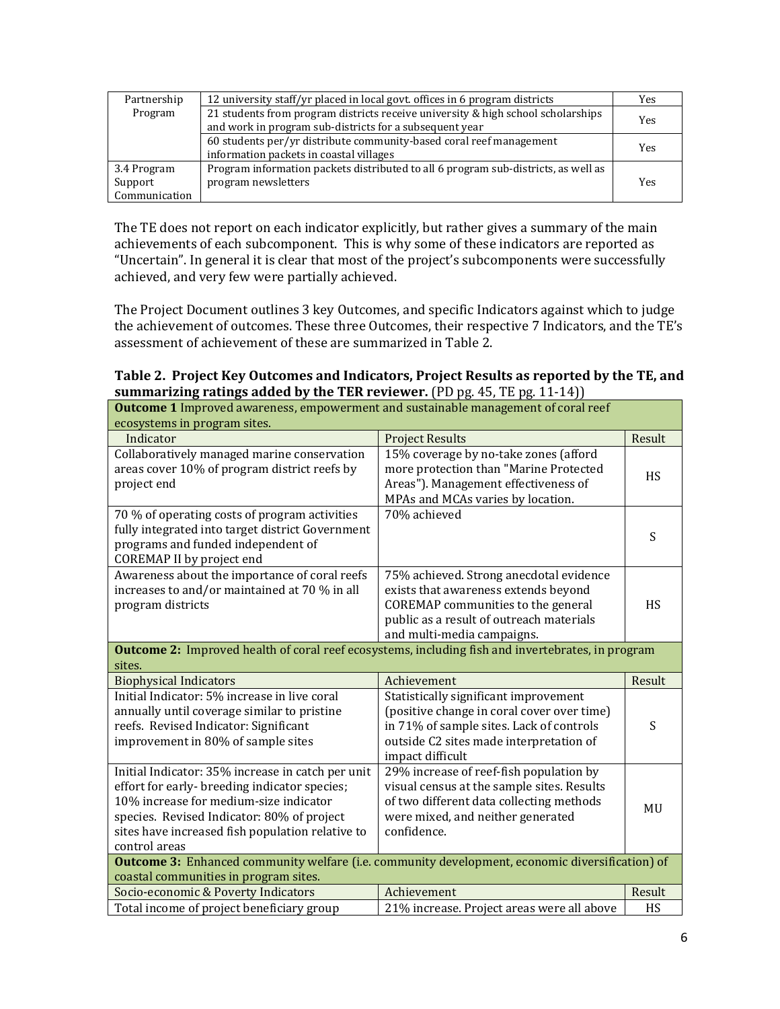| Partnership   | 12 university staff/yr placed in local govt. offices in 6 program districts        | Yes |  |
|---------------|------------------------------------------------------------------------------------|-----|--|
| Program       | 21 students from program districts receive university & high school scholarships   | Yes |  |
|               | and work in program sub-districts for a subsequent year                            |     |  |
|               | 60 students per/yr distribute community-based coral reef management                | Yes |  |
|               | information packets in coastal villages                                            |     |  |
| 3.4 Program   | Program information packets distributed to all 6 program sub-districts, as well as |     |  |
| Support       | program newsletters                                                                | Yes |  |
| Communication |                                                                                    |     |  |

The TE does not report on each indicator explicitly, but rather gives a summary of the main achievements of each subcomponent. This is why some of these indicators are reported as "Uncertain". In general it is clear that most of the project's subcomponents were successfully achieved, and very few were partially achieved.

The Project Document outlines 3 key Outcomes, and specific Indicators against which to judge the achievement of outcomes. These three Outcomes, their respective 7 Indicators, and the TE's assessment of achievement of these are summarized in Table 2.

| Table 2. Project Key Outcomes and Indicators, Project Results as reported by the TE, and |
|------------------------------------------------------------------------------------------|
| summarizing ratings added by the TER reviewer. (PD pg. 45, TE pg. 11-14))                |

| <b>Outcome 1</b> Improved awareness, empowerment and sustainable management of coral reef                |                                                           |           |
|----------------------------------------------------------------------------------------------------------|-----------------------------------------------------------|-----------|
| ecosystems in program sites.                                                                             |                                                           |           |
| Indicator                                                                                                | <b>Project Results</b>                                    | Result    |
| Collaboratively managed marine conservation                                                              | 15% coverage by no-take zones (afford                     |           |
| areas cover 10% of program district reefs by                                                             | more protection than "Marine Protected                    | <b>HS</b> |
| project end                                                                                              | Areas"). Management effectiveness of                      |           |
|                                                                                                          | MPAs and MCAs varies by location.                         |           |
| 70 % of operating costs of program activities                                                            | 70% achieved                                              |           |
| fully integrated into target district Government                                                         |                                                           | S         |
| programs and funded independent of                                                                       |                                                           |           |
| <b>COREMAP II</b> by project end                                                                         |                                                           |           |
| Awareness about the importance of coral reefs                                                            | 75% achieved. Strong anecdotal evidence                   |           |
| increases to and/or maintained at 70 % in all                                                            | exists that awareness extends beyond                      |           |
| program districts                                                                                        | COREMAP communities to the general                        | <b>HS</b> |
|                                                                                                          | public as a result of outreach materials                  |           |
|                                                                                                          | and multi-media campaigns.                                |           |
| <b>Outcome 2:</b> Improved health of coral reef ecosystems, including fish and invertebrates, in program |                                                           |           |
| sites.                                                                                                   |                                                           |           |
| <b>Biophysical Indicators</b>                                                                            | Achievement                                               | Result    |
| Initial Indicator: 5% increase in live coral                                                             | Statistically significant improvement                     |           |
| annually until coverage similar to pristine                                                              | (positive change in coral cover over time)                |           |
| reefs. Revised Indicator: Significant                                                                    | in 71% of sample sites. Lack of controls                  | S         |
| improvement in 80% of sample sites                                                                       | outside C2 sites made interpretation of                   |           |
|                                                                                                          | impact difficult                                          |           |
| Initial Indicator: 35% increase in catch per unit                                                        | 29% increase of reef-fish population by                   |           |
| effort for early- breeding indicator species;                                                            | visual census at the sample sites. Results                |           |
| 10% increase for medium-size indicator                                                                   | of two different data collecting methods                  | MU        |
| species. Revised Indicator: 80% of project                                                               | were mixed, and neither generated                         |           |
| sites have increased fish population relative to                                                         | confidence.                                               |           |
| control areas                                                                                            |                                                           |           |
| <b>Outcome 3:</b> Enhanced community welfare (i.e. community development, economic diversification) of   |                                                           |           |
| coastal communities in program sites.                                                                    |                                                           |           |
|                                                                                                          |                                                           |           |
| Socio-economic & Poverty Indicators<br>Total income of project beneficiary group                         | Achievement<br>21% increase. Project areas were all above | Result    |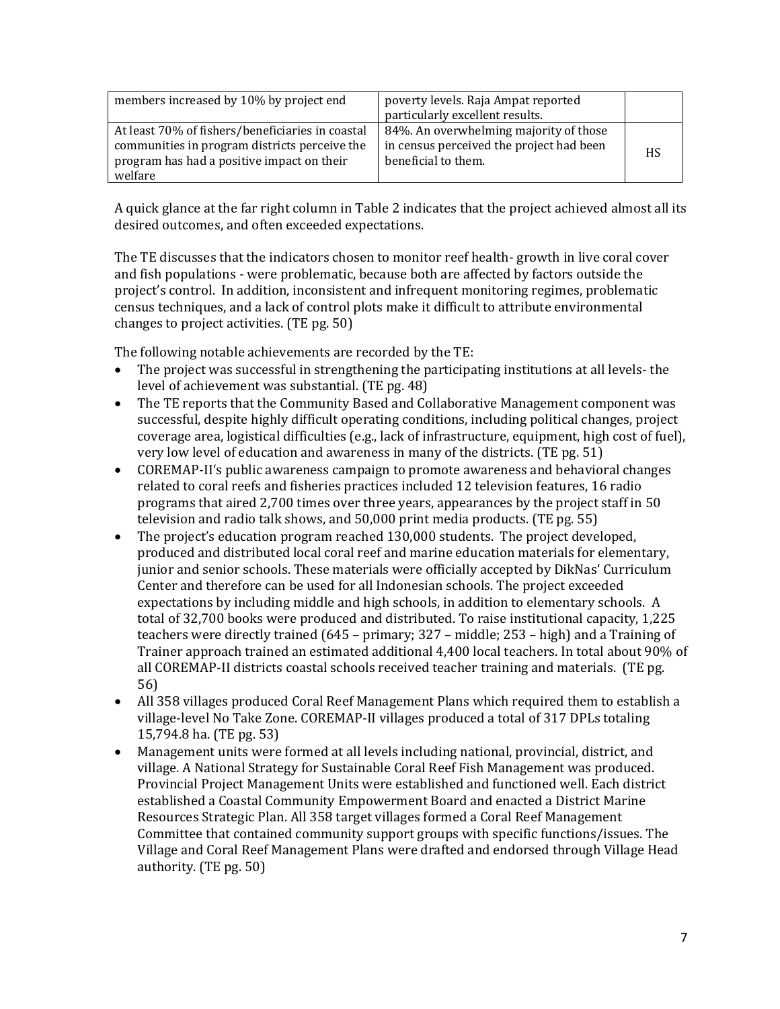| members increased by 10% by project end                                                                                                                    | poverty levels. Raja Ampat reported<br>particularly excellent results.                                    |           |
|------------------------------------------------------------------------------------------------------------------------------------------------------------|-----------------------------------------------------------------------------------------------------------|-----------|
| At least 70% of fishers/beneficiaries in coastal<br>communities in program districts perceive the<br>program has had a positive impact on their<br>welfare | 84%. An overwhelming majority of those<br>in census perceived the project had been<br>beneficial to them. | <b>HS</b> |

A quick glance at the far right column in Table 2 indicates that the project achieved almost all its desired outcomes, and often exceeded expectations.

The TE discusses that the indicators chosen to monitor reef health- growth in live coral cover and fish populations - were problematic, because both are affected by factors outside the project's control. In addition, inconsistent and infrequent monitoring regimes, problematic census techniques, and a lack of control plots make it difficult to attribute environmental changes to project activities. (TE pg. 50)

The following notable achievements are recorded by the TE:<br>• The project was successful in strengthening the participa

- The project was successful in strengthening the participating institutions at all levels- the level of achievement was substantial. (TE pg. 48)
- The TE reports that the Community Based and Collaborative Management component was successful, despite highly difficult operating conditions, including political changes, project coverage area, logistical difficulties (e.g., lack of infrastructure, equipment, high cost of fuel), very low level of education and awareness in many of the districts. (TE pg. 51)
- COREMAP-II's public awareness campaign to promote awareness and behavioral changes related to coral reefs and fisheries practices included 12 television features, 16 radio programs that aired 2,700 times over three years, appearances by the project staff in 50 television and radio talk shows, and 50,000 print media products. (TE pg. 55)
- The project's education program reached 130,000 students. The project developed, produced and distributed local coral reef and marine education materials for elementary, junior and senior schools. These materials were officially accepted by DikNas' Curriculum Center and therefore can be used for all Indonesian schools. The project exceeded expectations by including middle and high schools, in addition to elementary schools. A total of 32,700 books were produced and distributed. To raise institutional capacity, 1,225 teachers were directly trained (645 – primary; 327 – middle; 253 – high) and a Training of Trainer approach trained an estimated additional 4,400 local teachers. In total about 90% of all COREMAP-II districts coastal schools received teacher training and materials. (TE pg. 56)
- All 358 villages produced Coral Reef Management Plans which required them to establish a village-level No Take Zone. COREMAP-II villages produced a total of 317 DPLs totaling 15,794.8 ha. (TE pg. 53)
- Management units were formed at all levels including national, provincial, district, and village. A National Strategy for Sustainable Coral Reef Fish Management was produced. Provincial Project Management Units were established and functioned well. Each district established a Coastal Community Empowerment Board and enacted a District Marine Resources Strategic Plan. All 358 target villages formed a Coral Reef Management Committee that contained community support groups with specific functions/issues. The Village and Coral Reef Management Plans were drafted and endorsed through Village Head authority. (TE pg. 50)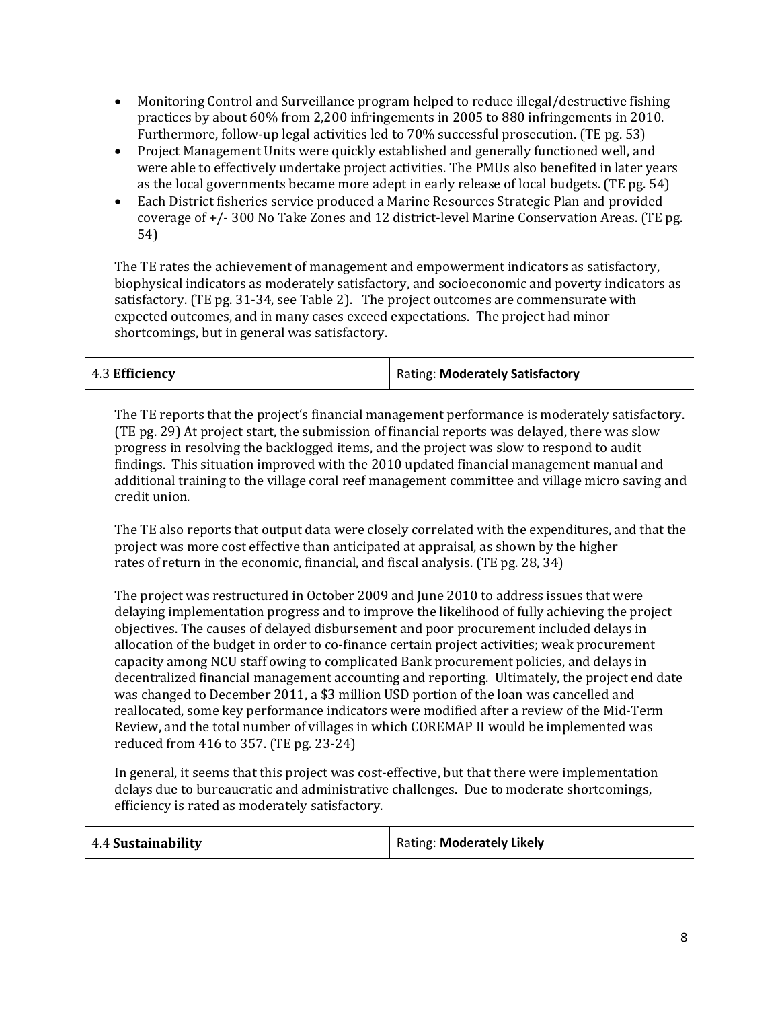- Monitoring Control and Surveillance program helped to reduce illegal/destructive fishing practices by about 60% from 2,200 infringements in 2005 to 880 infringements in 2010. Furthermore, follow-up legal activities led to 70% successful prosecution. (TE pg. 53)
- Project Management Units were quickly established and generally functioned well, and were able to effectively undertake project activities. The PMUs also benefited in later years as the local governments became more adept in early release of local budgets. (TE pg. 54)
- Each District fisheries service produced a Marine Resources Strategic Plan and provided coverage of +/- 300 No Take Zones and 12 district-level Marine Conservation Areas. (TE pg. 54)

The TE rates the achievement of management and empowerment indicators as satisfactory, biophysical indicators as moderately satisfactory, and socioeconomic and poverty indicators as satisfactory. (TE pg. 31-34, see Table 2). The project outcomes are commensurate with expected outcomes, and in many cases exceed expectations. The project had minor shortcomings, but in general was satisfactory.

| 4.3 Efficiency | Rating: Moderately Satisfactory |
|----------------|---------------------------------|
|----------------|---------------------------------|

The TE reports that the project's financial management performance is moderately satisfactory. (TE pg. 29) At project start, the submission of financial reports was delayed, there was slow progress in resolving the backlogged items, and the project was slow to respond to audit findings. This situation improved with the 2010 updated financial management manual and additional training to the village coral reef management committee and village micro saving and credit union.

The TE also reports that output data were closely correlated with the expenditures, and that the project was more cost effective than anticipated at appraisal, as shown by the higher rates of return in the economic, financial, and fiscal analysis. (TE pg. 28, 34)

The project was restructured in October 2009 and June 2010 to address issues that were delaying implementation progress and to improve the likelihood of fully achieving the project objectives. The causes of delayed disbursement and poor procurement included delays in allocation of the budget in order to co-finance certain project activities; weak procurement capacity among NCU staff owing to complicated Bank procurement policies, and delays in decentralized financial management accounting and reporting. Ultimately, the project end date was changed to December 2011, a \$3 million USD portion of the loan was cancelled and reallocated, some key performance indicators were modified after a review of the Mid-Term Review, and the total number of villages in which COREMAP II would be implemented was reduced from 416 to 357. (TE pg. 23-24)

In general, it seems that this project was cost-effective, but that there were implementation delays due to bureaucratic and administrative challenges. Due to moderate shortcomings, efficiency is rated as moderately satisfactory.

| 4.4 Sustainability<br>Rating: Moderately Likely |  |
|-------------------------------------------------|--|
|-------------------------------------------------|--|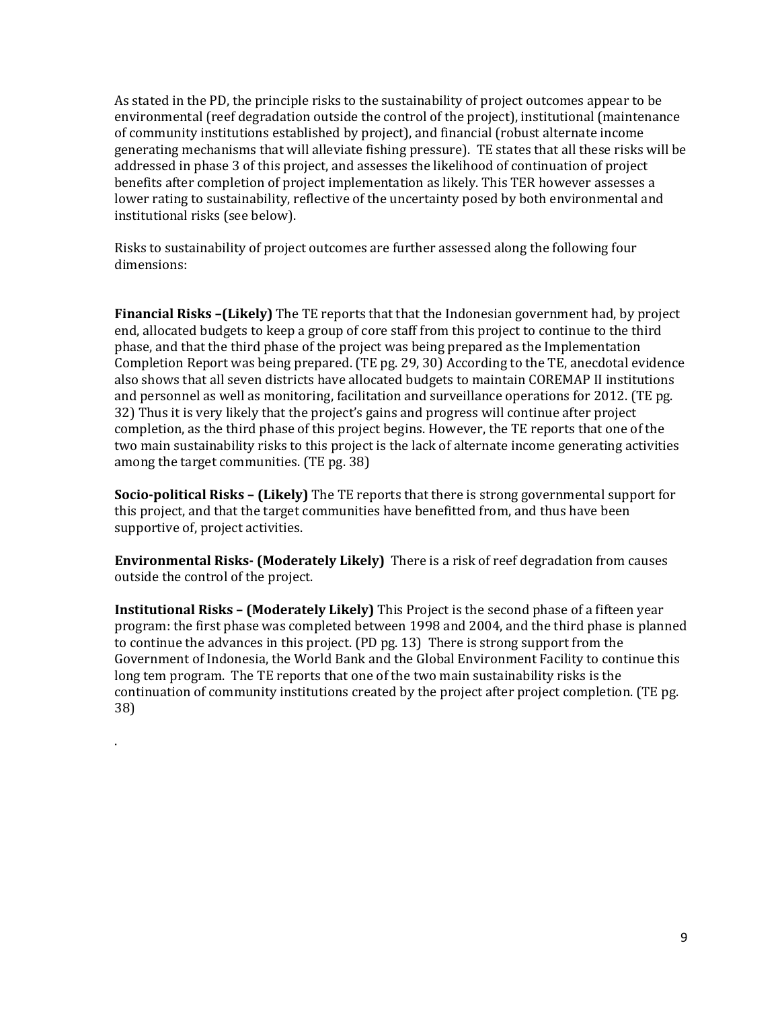As stated in the PD, the principle risks to the sustainability of project outcomes appear to be environmental (reef degradation outside the control of the project), institutional (maintenance of community institutions established by project), and financial (robust alternate income generating mechanisms that will alleviate fishing pressure). TE states that all these risks will be addressed in phase 3 of this project, and assesses the likelihood of continuation of project benefits after completion of project implementation as likely. This TER however assesses a lower rating to sustainability, reflective of the uncertainty posed by both environmental and institutional risks (see below).

Risks to sustainability of project outcomes are further assessed along the following four dimensions:

**Financial Risks –(Likely)** The TE reports that that the Indonesian government had, by project end, allocated budgets to keep a group of core staff from this project to continue to the third phase, and that the third phase of the project was being prepared as the Implementation Completion Report was being prepared. (TE pg. 29, 30) According to the TE, anecdotal evidence also shows that all seven districts have allocated budgets to maintain COREMAP II institutions and personnel as well as monitoring, facilitation and surveillance operations for 2012. (TE pg. 32) Thus it is very likely that the project's gains and progress will continue after project completion, as the third phase of this project begins. However, the TE reports that one of the two main sustainability risks to this project is the lack of alternate income generating activities among the target communities. (TE pg. 38)

**Socio-political Risks – (Likely)** The TE reports that there is strong governmental support for this project, and that the target communities have benefitted from, and thus have been supportive of, project activities.

**Environmental Risks- (Moderately Likely)** There is a risk of reef degradation from causes outside the control of the project.

**Institutional Risks – (Moderately Likely)** This Project is the second phase of a fifteen year program: the first phase was completed between 1998 and 2004, and the third phase is planned to continue the advances in this project. (PD pg. 13) There is strong support from the Government of Indonesia, the World Bank and the Global Environment Facility to continue this long tem program. The TE reports that one of the two main sustainability risks is the continuation of community institutions created by the project after project completion. (TE pg. 38)

.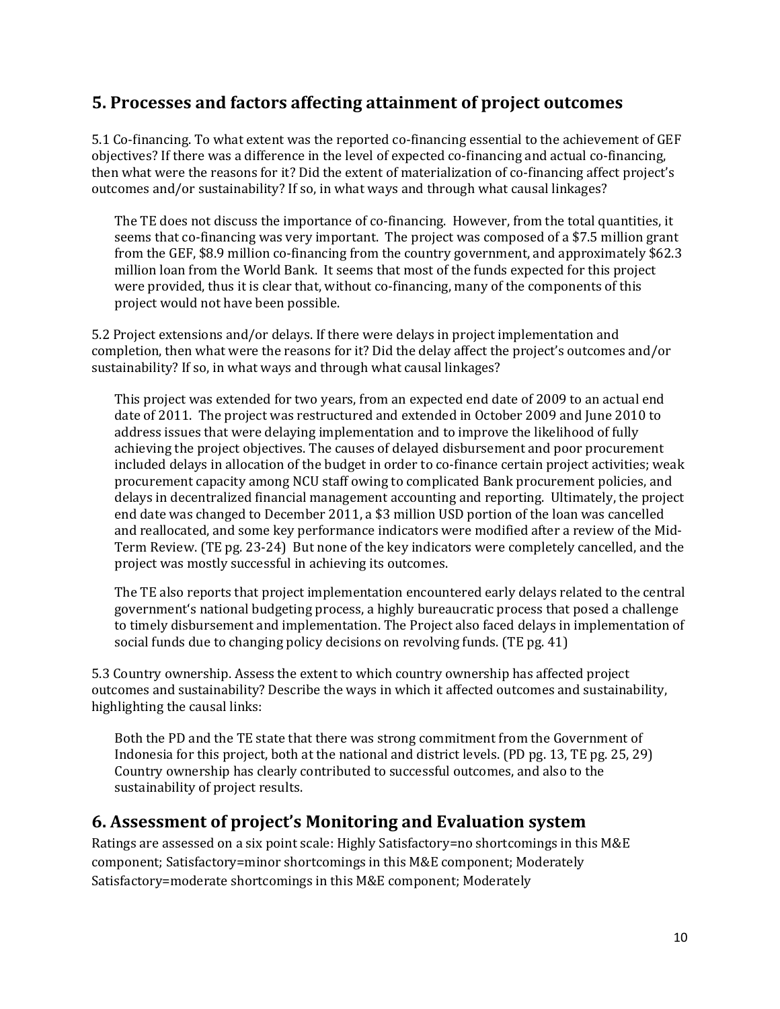#### **5. Processes and factors affecting attainment of project outcomes**

5.1 Co-financing. To what extent was the reported co-financing essential to the achievement of GEF objectives? If there was a difference in the level of expected co-financing and actual co-financing, then what were the reasons for it? Did the extent of materialization of co-financing affect project's outcomes and/or sustainability? If so, in what ways and through what causal linkages?

The TE does not discuss the importance of co-financing. However, from the total quantities, it seems that co-financing was very important. The project was composed of a \$7.5 million grant from the GEF, \$8.9 million co-financing from the country government, and approximately \$62.3 million loan from the World Bank. It seems that most of the funds expected for this project were provided, thus it is clear that, without co-financing, many of the components of this project would not have been possible.

5.2 Project extensions and/or delays. If there were delays in project implementation and completion, then what were the reasons for it? Did the delay affect the project's outcomes and/or sustainability? If so, in what ways and through what causal linkages?

This project was extended for two years, from an expected end date of 2009 to an actual end date of 2011. The project was restructured and extended in October 2009 and June 2010 to address issues that were delaying implementation and to improve the likelihood of fully achieving the project objectives. The causes of delayed disbursement and poor procurement included delays in allocation of the budget in order to co-finance certain project activities; weak procurement capacity among NCU staff owing to complicated Bank procurement policies, and delays in decentralized financial management accounting and reporting. Ultimately, the project end date was changed to December 2011, a \$3 million USD portion of the loan was cancelled and reallocated, and some key performance indicators were modified after a review of the Mid-Term Review. (TE pg. 23-24) But none of the key indicators were completely cancelled, and the project was mostly successful in achieving its outcomes.

The TE also reports that project implementation encountered early delays related to the central government's national budgeting process, a highly bureaucratic process that posed a challenge to timely disbursement and implementation. The Project also faced delays in implementation of social funds due to changing policy decisions on revolving funds. (TE pg. 41)

5.3 Country ownership. Assess the extent to which country ownership has affected project outcomes and sustainability? Describe the ways in which it affected outcomes and sustainability, highlighting the causal links:

Both the PD and the TE state that there was strong commitment from the Government of Indonesia for this project, both at the national and district levels. (PD pg. 13, TE pg. 25, 29) Country ownership has clearly contributed to successful outcomes, and also to the sustainability of project results.

#### **6. Assessment of project's Monitoring and Evaluation system**

Ratings are assessed on a six point scale: Highly Satisfactory=no shortcomings in this M&E component; Satisfactory=minor shortcomings in this M&E component; Moderately Satisfactory=moderate shortcomings in this M&E component; Moderately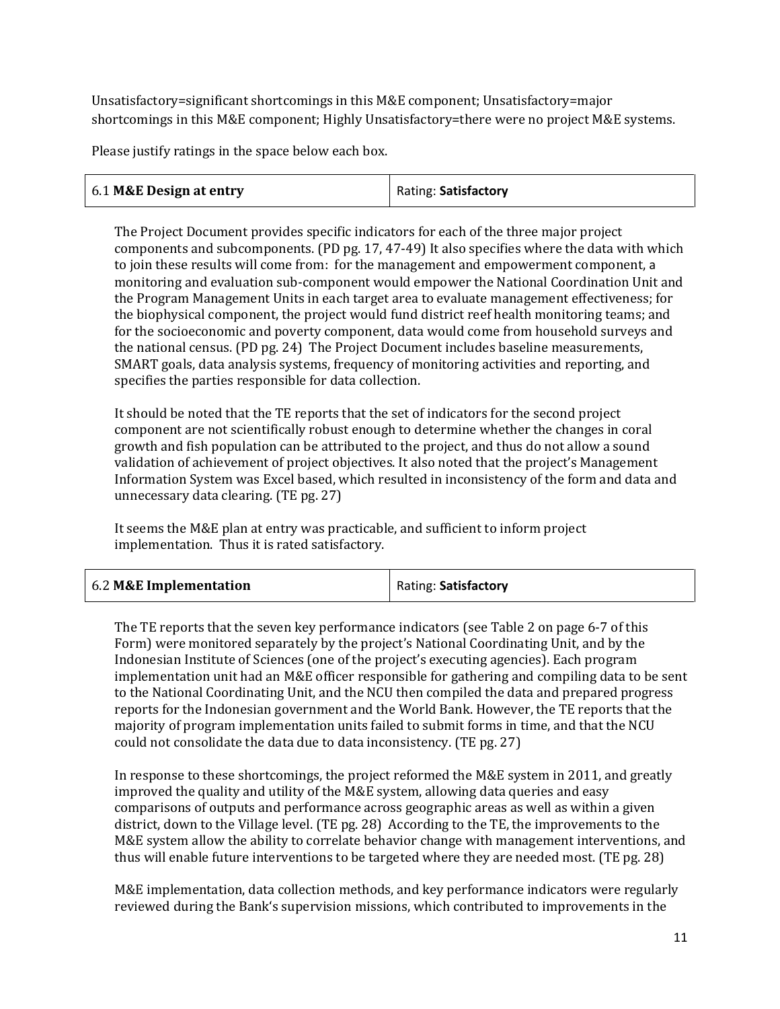Unsatisfactory=significant shortcomings in this M&E component; Unsatisfactory=major shortcomings in this M&E component; Highly Unsatisfactory=there were no project M&E systems.

Please justify ratings in the space below each box.

The Project Document provides specific indicators for each of the three major project components and subcomponents. (PD pg. 17, 47-49) It also specifies where the data with which to join these results will come from: for the management and empowerment component, a monitoring and evaluation sub-component would empower the National Coordination Unit and the Program Management Units in each target area to evaluate management effectiveness; for the biophysical component, the project would fund district reef health monitoring teams; and for the socioeconomic and poverty component, data would come from household surveys and the national census. (PD pg. 24) The Project Document includes baseline measurements, SMART goals, data analysis systems, frequency of monitoring activities and reporting, and specifies the parties responsible for data collection.

It should be noted that the TE reports that the set of indicators for the second project component are not scientifically robust enough to determine whether the changes in coral growth and fish population can be attributed to the project, and thus do not allow a sound validation of achievement of project objectives. It also noted that the project's Management Information System was Excel based, which resulted in inconsistency of the form and data and unnecessary data clearing. (TE pg. 27)

It seems the M&E plan at entry was practicable, and sufficient to inform project implementation. Thus it is rated satisfactory.

| 6.2 M&E Implementation | Rating: Satisfactory |
|------------------------|----------------------|
|------------------------|----------------------|

The TE reports that the seven key performance indicators (see Table 2 on page 6-7 of this Form) were monitored separately by the project's National Coordinating Unit, and by the Indonesian Institute of Sciences (one of the project's executing agencies). Each program implementation unit had an M&E officer responsible for gathering and compiling data to be sent to the National Coordinating Unit, and the NCU then compiled the data and prepared progress reports for the Indonesian government and the World Bank. However, the TE reports that the majority of program implementation units failed to submit forms in time, and that the NCU could not consolidate the data due to data inconsistency. (TE pg. 27)

In response to these shortcomings, the project reformed the M&E system in 2011, and greatly improved the quality and utility of the M&E system, allowing data queries and easy comparisons of outputs and performance across geographic areas as well as within a given district, down to the Village level. (TE pg. 28) According to the TE, the improvements to the M&E system allow the ability to correlate behavior change with management interventions, and thus will enable future interventions to be targeted where they are needed most. (TE pg. 28)

M&E implementation, data collection methods, and key performance indicators were regularly reviewed during the Bank's supervision missions, which contributed to improvements in the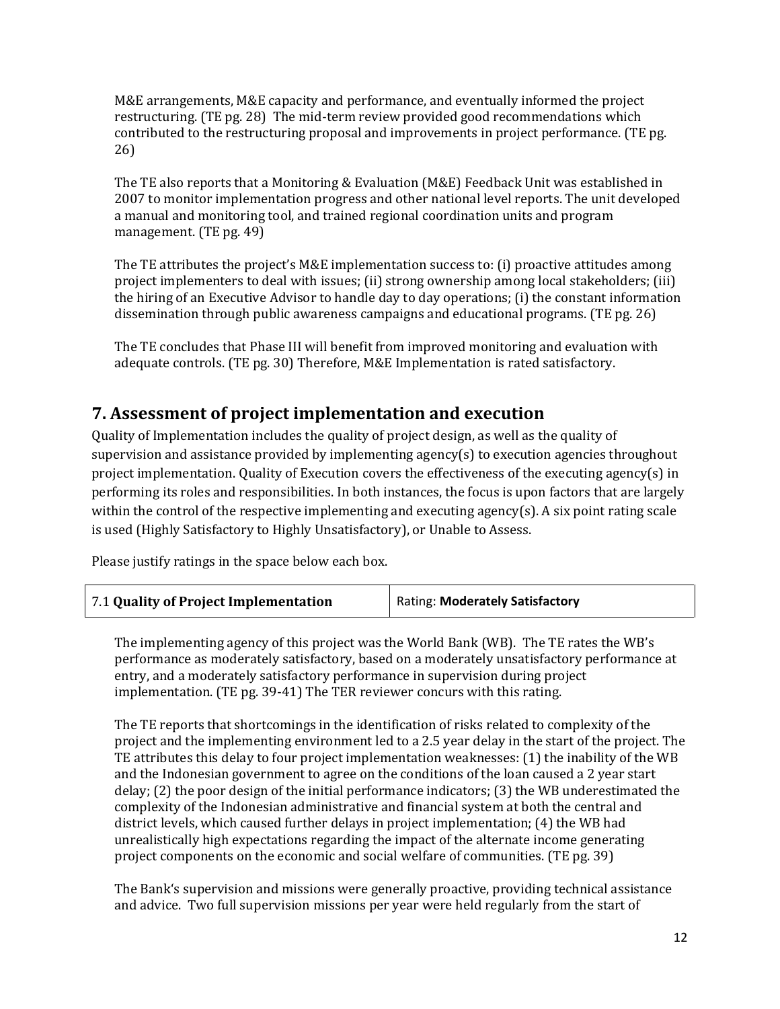M&E arrangements, M&E capacity and performance, and eventually informed the project restructuring. (TE pg. 28) The mid-term review provided good recommendations which contributed to the restructuring proposal and improvements in project performance. (TE pg. 26)

The TE also reports that a Monitoring & Evaluation (M&E) Feedback Unit was established in 2007 to monitor implementation progress and other national level reports. The unit developed a manual and monitoring tool, and trained regional coordination units and program management. (TE pg. 49)

The TE attributes the project's M&E implementation success to: (i) proactive attitudes among project implementers to deal with issues; (ii) strong ownership among local stakeholders; (iii) the hiring of an Executive Advisor to handle day to day operations; (i) the constant information dissemination through public awareness campaigns and educational programs. (TE pg. 26)

The TE concludes that Phase III will benefit from improved monitoring and evaluation with adequate controls. (TE pg. 30) Therefore, M&E Implementation is rated satisfactory.

#### **7. Assessment of project implementation and execution**

Quality of Implementation includes the quality of project design, as well as the quality of supervision and assistance provided by implementing agency(s) to execution agencies throughout project implementation. Quality of Execution covers the effectiveness of the executing agency(s) in performing its roles and responsibilities. In both instances, the focus is upon factors that are largely within the control of the respective implementing and executing agency(s). A six point rating scale is used (Highly Satisfactory to Highly Unsatisfactory), or Unable to Assess.

Please justify ratings in the space below each box.

| Rating: Moderately Satisfactory |
|---------------------------------|
|                                 |

The implementing agency of this project was the World Bank (WB). The TE rates the WB's performance as moderately satisfactory, based on a moderately unsatisfactory performance at entry, and a moderately satisfactory performance in supervision during project implementation. (TE pg. 39-41) The TER reviewer concurs with this rating.

The TE reports that shortcomings in the identification of risks related to complexity of the project and the implementing environment led to a 2.5 year delay in the start of the project. The TE attributes this delay to four project implementation weaknesses: (1) the inability of the WB and the Indonesian government to agree on the conditions of the loan caused a 2 year start delay; (2) the poor design of the initial performance indicators; (3) the WB underestimated the complexity of the Indonesian administrative and financial system at both the central and district levels, which caused further delays in project implementation; (4) the WB had unrealistically high expectations regarding the impact of the alternate income generating project components on the economic and social welfare of communities. (TE pg. 39)

The Bank's supervision and missions were generally proactive, providing technical assistance and advice. Two full supervision missions per year were held regularly from the start of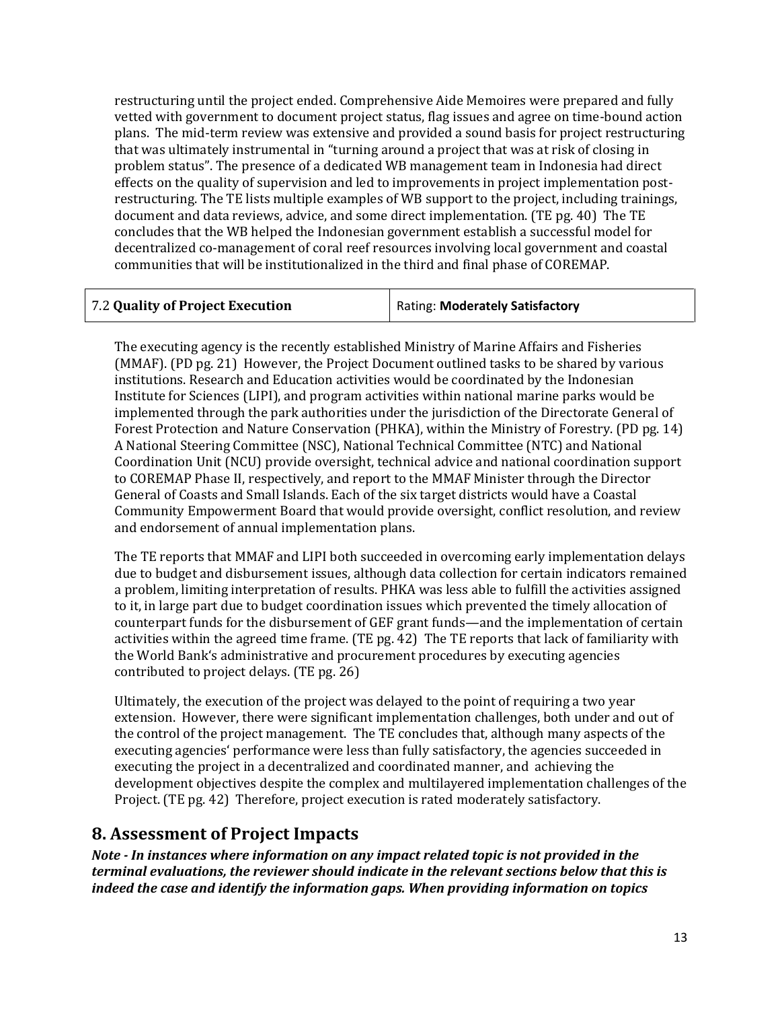restructuring until the project ended. Comprehensive Aide Memoires were prepared and fully vetted with government to document project status, flag issues and agree on time-bound action plans. The mid-term review was extensive and provided a sound basis for project restructuring that was ultimately instrumental in "turning around a project that was at risk of closing in problem status". The presence of a dedicated WB management team in Indonesia had direct effects on the quality of supervision and led to improvements in project implementation postrestructuring. The TE lists multiple examples of WB support to the project, including trainings, document and data reviews, advice, and some direct implementation. (TE pg. 40) The TE concludes that the WB helped the Indonesian government establish a successful model for decentralized co-management of coral reef resources involving local government and coastal communities that will be institutionalized in the third and final phase of COREMAP.

The executing agency is the recently established Ministry of Marine Affairs and Fisheries (MMAF). (PD pg. 21) However, the Project Document outlined tasks to be shared by various institutions. Research and Education activities would be coordinated by the Indonesian Institute for Sciences (LIPI), and program activities within national marine parks would be implemented through the park authorities under the jurisdiction of the Directorate General of Forest Protection and Nature Conservation (PHKA), within the Ministry of Forestry. (PD pg. 14) A National Steering Committee (NSC), National Technical Committee (NTC) and National Coordination Unit (NCU) provide oversight, technical advice and national coordination support to COREMAP Phase II, respectively, and report to the MMAF Minister through the Director General of Coasts and Small Islands. Each of the six target districts would have a Coastal Community Empowerment Board that would provide oversight, conflict resolution, and review and endorsement of annual implementation plans.

The TE reports that MMAF and LIPI both succeeded in overcoming early implementation delays due to budget and disbursement issues, although data collection for certain indicators remained a problem, limiting interpretation of results. PHKA was less able to fulfill the activities assigned to it, in large part due to budget coordination issues which prevented the timely allocation of counterpart funds for the disbursement of GEF grant funds—and the implementation of certain activities within the agreed time frame. (TE pg. 42) The TE reports that lack of familiarity with the World Bank's administrative and procurement procedures by executing agencies contributed to project delays. (TE pg. 26)

Ultimately, the execution of the project was delayed to the point of requiring a two year extension. However, there were significant implementation challenges, both under and out of the control of the project management. The TE concludes that, although many aspects of the executing agencies' performance were less than fully satisfactory, the agencies succeeded in executing the project in a decentralized and coordinated manner, and achieving the development objectives despite the complex and multilayered implementation challenges of the Project. (TE pg. 42) Therefore, project execution is rated moderately satisfactory.

#### **8. Assessment of Project Impacts**

*Note - In instances where information on any impact related topic is not provided in the terminal evaluations, the reviewer should indicate in the relevant sections below that this is indeed the case and identify the information gaps. When providing information on topics*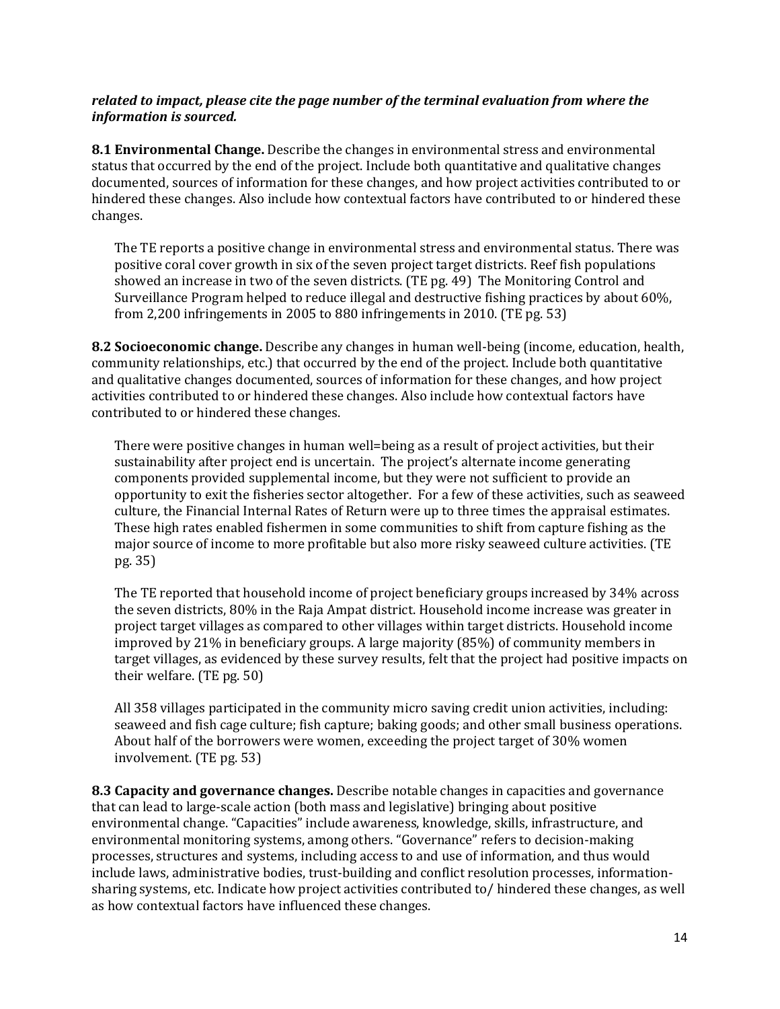#### *related to impact, please cite the page number of the terminal evaluation from where the information is sourced.*

**8.1 Environmental Change.** Describe the changes in environmental stress and environmental status that occurred by the end of the project. Include both quantitative and qualitative changes documented, sources of information for these changes, and how project activities contributed to or hindered these changes. Also include how contextual factors have contributed to or hindered these changes.

The TE reports a positive change in environmental stress and environmental status. There was positive coral cover growth in six of the seven project target districts. Reef fish populations showed an increase in two of the seven districts. (TE pg. 49) The Monitoring Control and Surveillance Program helped to reduce illegal and destructive fishing practices by about 60%, from 2,200 infringements in 2005 to 880 infringements in 2010. (TE pg. 53)

**8.2 Socioeconomic change.** Describe any changes in human well-being (income, education, health, community relationships, etc.) that occurred by the end of the project. Include both quantitative and qualitative changes documented, sources of information for these changes, and how project activities contributed to or hindered these changes. Also include how contextual factors have contributed to or hindered these changes.

There were positive changes in human well=being as a result of project activities, but their sustainability after project end is uncertain. The project's alternate income generating components provided supplemental income, but they were not sufficient to provide an opportunity to exit the fisheries sector altogether. For a few of these activities, such as seaweed culture, the Financial Internal Rates of Return were up to three times the appraisal estimates. These high rates enabled fishermen in some communities to shift from capture fishing as the major source of income to more profitable but also more risky seaweed culture activities. (TE pg. 35)

The TE reported that household income of project beneficiary groups increased by 34% across the seven districts, 80% in the Raja Ampat district. Household income increase was greater in project target villages as compared to other villages within target districts. Household income improved by 21% in beneficiary groups. A large majority (85%) of community members in target villages, as evidenced by these survey results, felt that the project had positive impacts on their welfare. (TE pg. 50)

All 358 villages participated in the community micro saving credit union activities, including: seaweed and fish cage culture; fish capture; baking goods; and other small business operations. About half of the borrowers were women, exceeding the project target of 30% women involvement. (TE pg. 53)

**8.3 Capacity and governance changes.** Describe notable changes in capacities and governance that can lead to large-scale action (both mass and legislative) bringing about positive environmental change. "Capacities" include awareness, knowledge, skills, infrastructure, and environmental monitoring systems, among others. "Governance" refers to decision-making processes, structures and systems, including access to and use of information, and thus would include laws, administrative bodies, trust-building and conflict resolution processes, informationsharing systems, etc. Indicate how project activities contributed to/ hindered these changes, as well as how contextual factors have influenced these changes.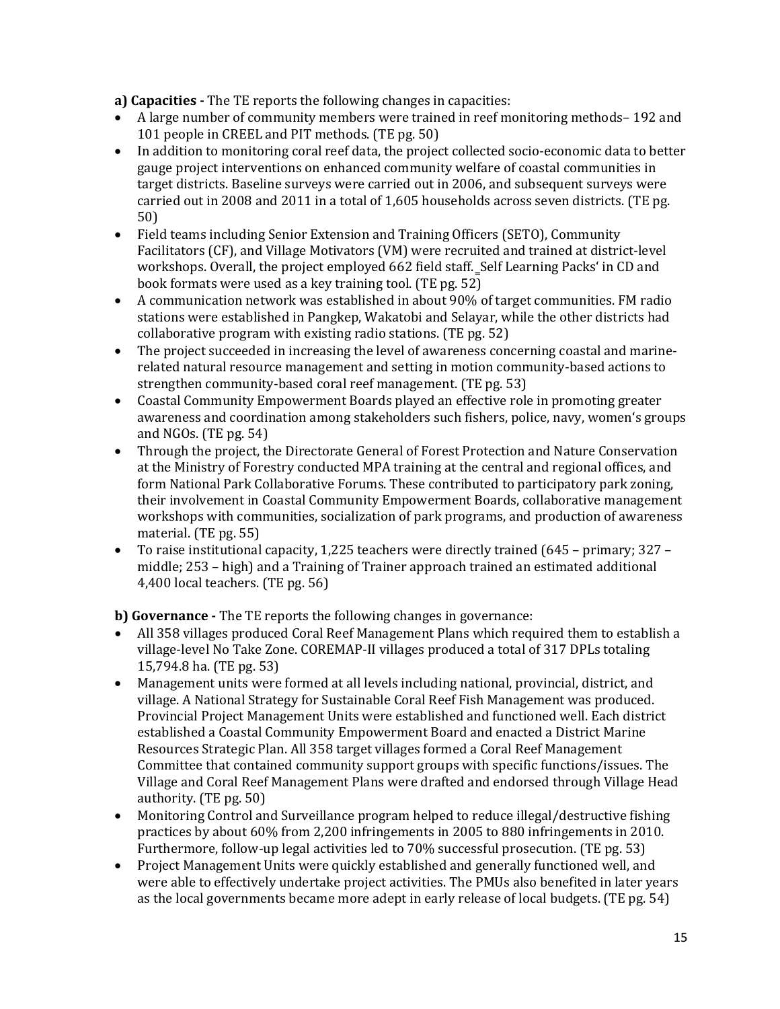**a) Capacities -** The TE reports the following changes in capacities:

- A large number of community members were trained in reef monitoring methods– 192 and 101 people in CREEL and PIT methods. (TE pg. 50)
- In addition to monitoring coral reef data, the project collected socio-economic data to better gauge project interventions on enhanced community welfare of coastal communities in target districts. Baseline surveys were carried out in 2006, and subsequent surveys were carried out in 2008 and 2011 in a total of 1,605 households across seven districts. (TE pg. 50)
- Field teams including Senior Extension and Training Officers (SETO), Community Facilitators (CF), and Village Motivators (VM) were recruited and trained at district-level workshops. Overall, the project employed 662 field staff. Self Learning Packs' in CD and book formats were used as a key training tool. (TE pg. 52)
- A communication network was established in about 90% of target communities. FM radio stations were established in Pangkep, Wakatobi and Selayar, while the other districts had collaborative program with existing radio stations. (TE pg. 52)
- The project succeeded in increasing the level of awareness concerning coastal and marinerelated natural resource management and setting in motion community-based actions to strengthen community-based coral reef management. (TE pg. 53)
- Coastal Community Empowerment Boards played an effective role in promoting greater awareness and coordination among stakeholders such fishers, police, navy, women's groups and NGOs. (TE pg. 54)
- Through the project, the Directorate General of Forest Protection and Nature Conservation at the Ministry of Forestry conducted MPA training at the central and regional offices, and form National Park Collaborative Forums. These contributed to participatory park zoning, their involvement in Coastal Community Empowerment Boards, collaborative management workshops with communities, socialization of park programs, and production of awareness material. (TE pg. 55)
- To raise institutional capacity, 1,225 teachers were directly trained (645 primary; 327 middle; 253 – high) and a Training of Trainer approach trained an estimated additional 4,400 local teachers. (TE pg. 56)

**b) Governance -** The TE reports the following changes in governance:

- All 358 villages produced Coral Reef Management Plans which required them to establish a village-level No Take Zone. COREMAP-II villages produced a total of 317 DPLs totaling 15,794.8 ha. (TE pg. 53)
- Management units were formed at all levels including national, provincial, district, and village. A National Strategy for Sustainable Coral Reef Fish Management was produced. Provincial Project Management Units were established and functioned well. Each district established a Coastal Community Empowerment Board and enacted a District Marine Resources Strategic Plan. All 358 target villages formed a Coral Reef Management Committee that contained community support groups with specific functions/issues. The Village and Coral Reef Management Plans were drafted and endorsed through Village Head authority. (TE pg. 50)
- Monitoring Control and Surveillance program helped to reduce illegal/destructive fishing practices by about 60% from 2,200 infringements in 2005 to 880 infringements in 2010. Furthermore, follow-up legal activities led to 70% successful prosecution. (TE pg. 53)
- Project Management Units were quickly established and generally functioned well, and were able to effectively undertake project activities. The PMUs also benefited in later years as the local governments became more adept in early release of local budgets. (TE pg. 54)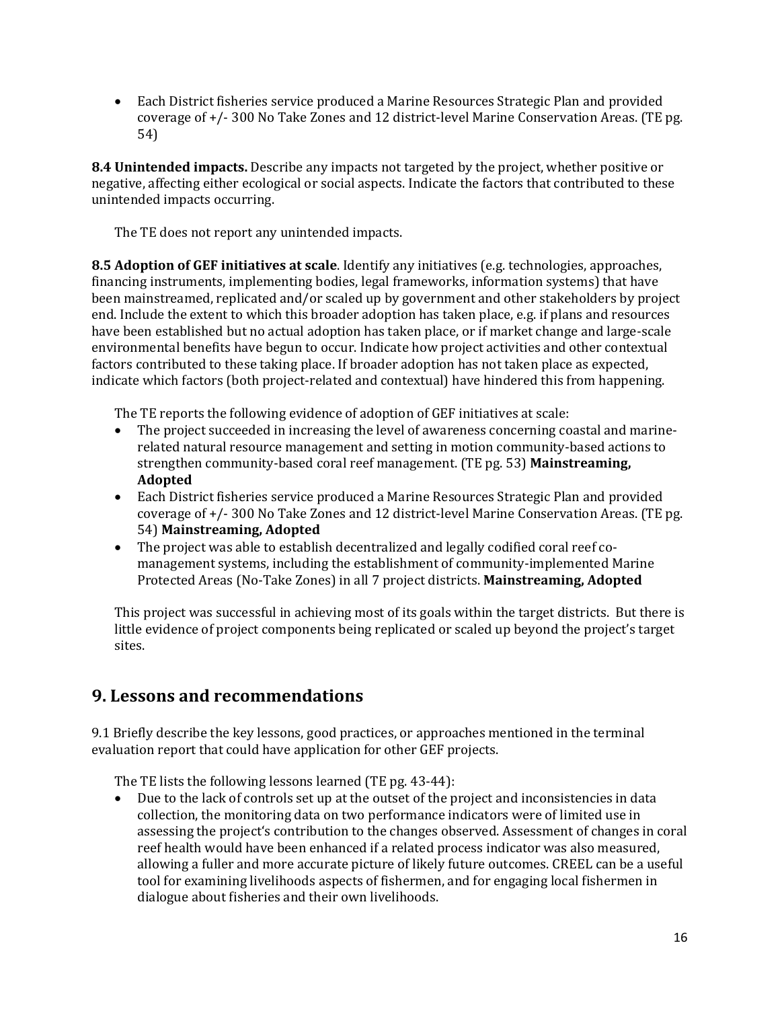• Each District fisheries service produced a Marine Resources Strategic Plan and provided coverage of +/- 300 No Take Zones and 12 district-level Marine Conservation Areas. (TE pg. 54)

**8.4 Unintended impacts.** Describe any impacts not targeted by the project, whether positive or negative, affecting either ecological or social aspects. Indicate the factors that contributed to these unintended impacts occurring.

The TE does not report any unintended impacts.

**8.5 Adoption of GEF initiatives at scale**. Identify any initiatives (e.g. technologies, approaches, financing instruments, implementing bodies, legal frameworks, information systems) that have been mainstreamed, replicated and/or scaled up by government and other stakeholders by project end. Include the extent to which this broader adoption has taken place, e.g. if plans and resources have been established but no actual adoption has taken place, or if market change and large-scale environmental benefits have begun to occur. Indicate how project activities and other contextual factors contributed to these taking place. If broader adoption has not taken place as expected, indicate which factors (both project-related and contextual) have hindered this from happening.

The TE reports the following evidence of adoption of GEF initiatives at scale:

- The project succeeded in increasing the level of awareness concerning coastal and marinerelated natural resource management and setting in motion community-based actions to strengthen community-based coral reef management. (TE pg. 53) **Mainstreaming, Adopted**
- Each District fisheries service produced a Marine Resources Strategic Plan and provided coverage of +/- 300 No Take Zones and 12 district-level Marine Conservation Areas. (TE pg. 54) **Mainstreaming, Adopted**
- The project was able to establish decentralized and legally codified coral reef comanagement systems, including the establishment of community-implemented Marine Protected Areas (No-Take Zones) in all 7 project districts. **Mainstreaming, Adopted**

This project was successful in achieving most of its goals within the target districts. But there is little evidence of project components being replicated or scaled up beyond the project's target sites.

#### **9. Lessons and recommendations**

9.1 Briefly describe the key lessons, good practices, or approaches mentioned in the terminal evaluation report that could have application for other GEF projects.

The TE lists the following lessons learned (TE pg. 43-44):<br>• Due to the lack of controls set up at the outset of the p

• Due to the lack of controls set up at the outset of the project and inconsistencies in data collection, the monitoring data on two performance indicators were of limited use in assessing the project's contribution to the changes observed. Assessment of changes in coral reef health would have been enhanced if a related process indicator was also measured, allowing a fuller and more accurate picture of likely future outcomes. CREEL can be a useful tool for examining livelihoods aspects of fishermen, and for engaging local fishermen in dialogue about fisheries and their own livelihoods.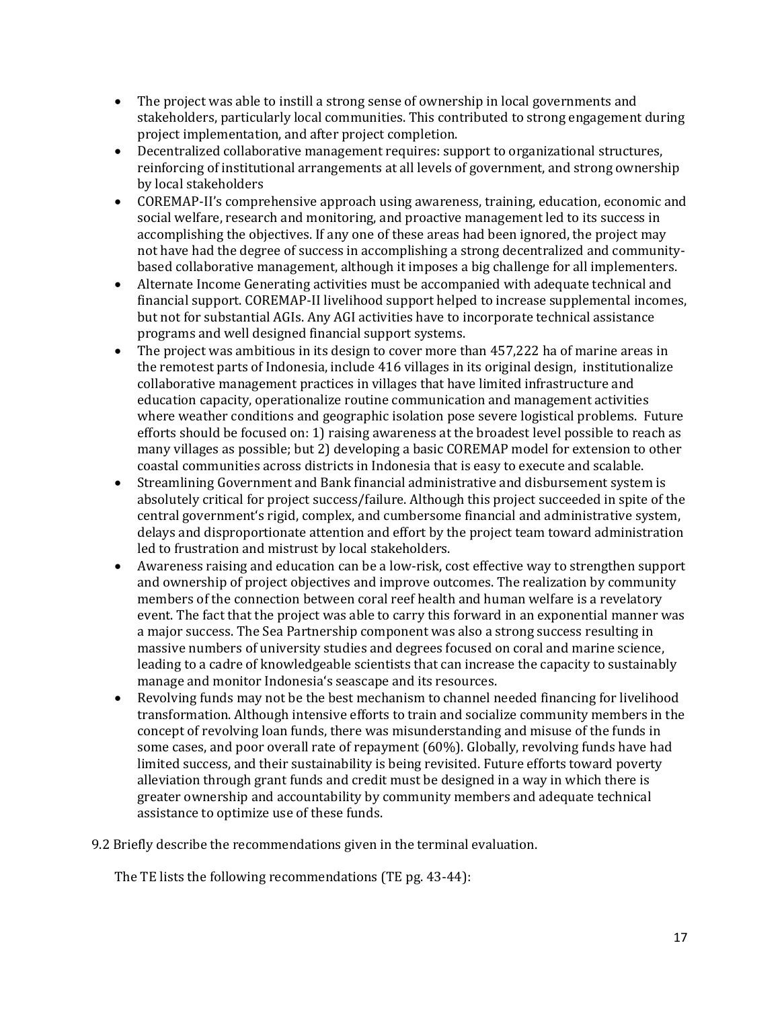- The project was able to instill a strong sense of ownership in local governments and stakeholders, particularly local communities. This contributed to strong engagement during project implementation, and after project completion.
- Decentralized collaborative management requires: support to organizational structures, reinforcing of institutional arrangements at all levels of government, and strong ownership by local stakeholders
- COREMAP-II's comprehensive approach using awareness, training, education, economic and social welfare, research and monitoring, and proactive management led to its success in accomplishing the objectives. If any one of these areas had been ignored, the project may not have had the degree of success in accomplishing a strong decentralized and communitybased collaborative management, although it imposes a big challenge for all implementers.
- Alternate Income Generating activities must be accompanied with adequate technical and financial support. COREMAP-II livelihood support helped to increase supplemental incomes, but not for substantial AGIs. Any AGI activities have to incorporate technical assistance programs and well designed financial support systems.
- The project was ambitious in its design to cover more than 457,222 ha of marine areas in the remotest parts of Indonesia, include 416 villages in its original design, institutionalize collaborative management practices in villages that have limited infrastructure and education capacity, operationalize routine communication and management activities where weather conditions and geographic isolation pose severe logistical problems. Future efforts should be focused on: 1) raising awareness at the broadest level possible to reach as many villages as possible; but 2) developing a basic COREMAP model for extension to other coastal communities across districts in Indonesia that is easy to execute and scalable.
- Streamlining Government and Bank financial administrative and disbursement system is absolutely critical for project success/failure. Although this project succeeded in spite of the central government's rigid, complex, and cumbersome financial and administrative system, delays and disproportionate attention and effort by the project team toward administration led to frustration and mistrust by local stakeholders.
- Awareness raising and education can be a low-risk, cost effective way to strengthen support and ownership of project objectives and improve outcomes. The realization by community members of the connection between coral reef health and human welfare is a revelatory event. The fact that the project was able to carry this forward in an exponential manner was a major success. The Sea Partnership component was also a strong success resulting in massive numbers of university studies and degrees focused on coral and marine science, leading to a cadre of knowledgeable scientists that can increase the capacity to sustainably manage and monitor Indonesia's seascape and its resources.
- Revolving funds may not be the best mechanism to channel needed financing for livelihood transformation. Although intensive efforts to train and socialize community members in the concept of revolving loan funds, there was misunderstanding and misuse of the funds in some cases, and poor overall rate of repayment (60%). Globally, revolving funds have had limited success, and their sustainability is being revisited. Future efforts toward poverty alleviation through grant funds and credit must be designed in a way in which there is greater ownership and accountability by community members and adequate technical assistance to optimize use of these funds.
- 9.2 Briefly describe the recommendations given in the terminal evaluation.

The TE lists the following recommendations (TE pg. 43-44):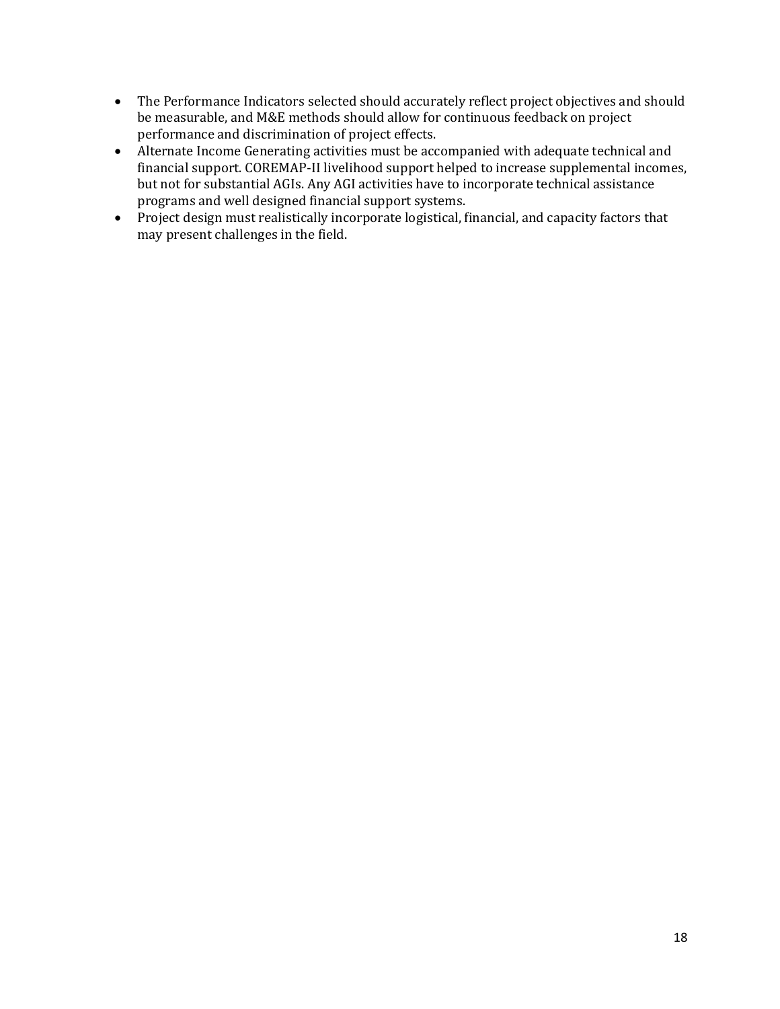- The Performance Indicators selected should accurately reflect project objectives and should be measurable, and M&E methods should allow for continuous feedback on project performance and discrimination of project effects.
- Alternate Income Generating activities must be accompanied with adequate technical and financial support. COREMAP-II livelihood support helped to increase supplemental incomes, but not for substantial AGIs. Any AGI activities have to incorporate technical assistance programs and well designed financial support systems.
- Project design must realistically incorporate logistical, financial, and capacity factors that may present challenges in the field.